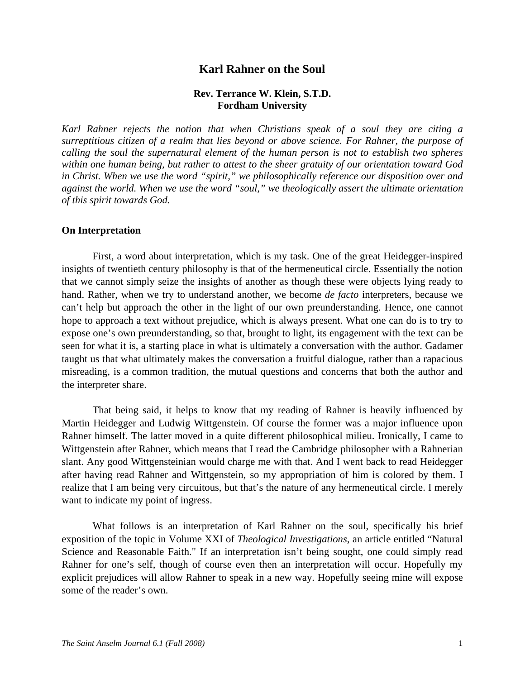# **Karl Rahner on the Soul**

## **Rev. Terrance W. Klein, S.T.D. Fordham University**

*Karl Rahner rejects the notion that when Christians speak of a soul they are citing a surreptitious citizen of a realm that lies beyond or above science. For Rahner, the purpose of calling the soul the supernatural element of the human person is not to establish two spheres within one human being, but rather to attest to the sheer gratuity of our orientation toward God in Christ. When we use the word "spirit," we philosophically reference our disposition over and against the world. When we use the word "soul," we theologically assert the ultimate orientation of this spirit towards God.* 

#### **On Interpretation**

 First, a word about interpretation, which is my task. One of the great Heidegger-inspired insights of twentieth century philosophy is that of the hermeneutical circle. Essentially the notion that we cannot simply seize the insights of another as though these were objects lying ready to hand. Rather, when we try to understand another, we become *de facto* interpreters, because we can't help but approach the other in the light of our own preunderstanding. Hence, one cannot hope to approach a text without prejudice, which is always present. What one can do is to try to expose one's own preunderstanding, so that, brought to light, its engagement with the text can be seen for what it is, a starting place in what is ultimately a conversation with the author. Gadamer taught us that what ultimately makes the conversation a fruitful dialogue, rather than a rapacious misreading, is a common tradition, the mutual questions and concerns that both the author and the interpreter share.

 That being said, it helps to know that my reading of Rahner is heavily influenced by Martin Heidegger and Ludwig Wittgenstein. Of course the former was a major influence upon Rahner himself. The latter moved in a quite different philosophical milieu. Ironically, I came to Wittgenstein after Rahner, which means that I read the Cambridge philosopher with a Rahnerian slant. Any good Wittgensteinian would charge me with that. And I went back to read Heidegger after having read Rahner and Wittgenstein, so my appropriation of him is colored by them. I realize that I am being very circuitous, but that's the nature of any hermeneutical circle. I merely want to indicate my point of ingress.

 What follows is an interpretation of Karl Rahner on the soul, specifically his brief exposition of the topic in Volume XXI of *Theological Investigations*, an article entitled "Natural Science and Reasonable Faith." If an interpretation isn't being sought, one could simply read Rahner for one's self, though of course even then an interpretation will occur. Hopefully my explicit prejudices will allow Rahner to speak in a new way. Hopefully seeing mine will expose some of the reader's own.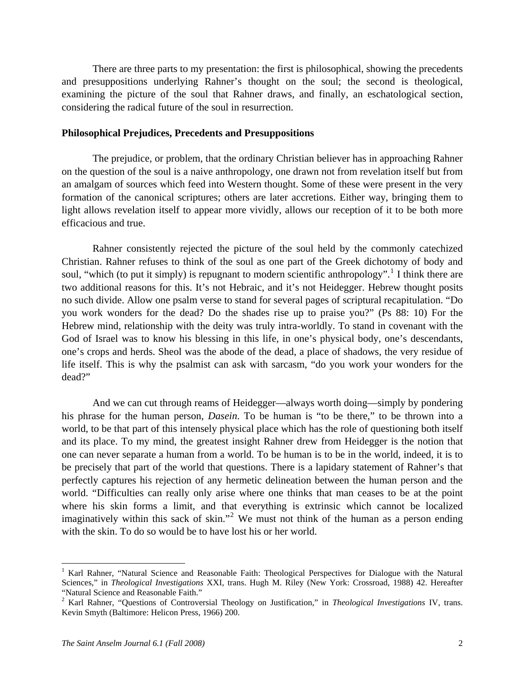There are three parts to my presentation: the first is philosophical, showing the precedents and presuppositions underlying Rahner's thought on the soul; the second is theological, examining the picture of the soul that Rahner draws, and finally, an eschatological section, considering the radical future of the soul in resurrection.

#### **Philosophical Prejudices, Precedents and Presuppositions**

 The prejudice, or problem, that the ordinary Christian believer has in approaching Rahner on the question of the soul is a naive anthropology, one drawn not from revelation itself but from an amalgam of sources which feed into Western thought. Some of these were present in the very formation of the canonical scriptures; others are later accretions. Either way, bringing them to light allows revelation itself to appear more vividly, allows our reception of it to be both more efficacious and true.

 Rahner consistently rejected the picture of the soul held by the commonly catechized Christian. Rahner refuses to think of the soul as one part of the Greek dichotomy of body and soul, "which (to put it simply) is repugnant to modern scientific anthropology".<sup>[1](#page-1-0)</sup> I think there are two additional reasons for this. It's not Hebraic, and it's not Heidegger. Hebrew thought posits no such divide. Allow one psalm verse to stand for several pages of scriptural recapitulation. "Do you work wonders for the dead? Do the shades rise up to praise you?" (Ps 88: 10) For the Hebrew mind, relationship with the deity was truly intra-worldly. To stand in covenant with the God of Israel was to know his blessing in this life, in one's physical body, one's descendants, one's crops and herds. Sheol was the abode of the dead, a place of shadows, the very residue of life itself. This is why the psalmist can ask with sarcasm, "do you work your wonders for the dead?"

 And we can cut through reams of Heidegger—always worth doing—simply by pondering his phrase for the human person, *Dasein*. To be human is "to be there," to be thrown into a world, to be that part of this intensely physical place which has the role of questioning both itself and its place. To my mind, the greatest insight Rahner drew from Heidegger is the notion that one can never separate a human from a world. To be human is to be in the world, indeed, it is to be precisely that part of the world that questions. There is a lapidary statement of Rahner's that perfectly captures his rejection of any hermetic delineation between the human person and the world. "Difficulties can really only arise where one thinks that man ceases to be at the point where his skin forms a limit, and that everything is extrinsic which cannot be localized imaginatively within this sack of skin."<sup>[2](#page-1-1)</sup> We must not think of the human as a person ending with the skin. To do so would be to have lost his or her world.

<span id="page-1-0"></span><sup>&</sup>lt;sup>1</sup> Karl Rahner, "Natural Science and Reasonable Faith: Theological Perspectives for Dialogue with the Natural Sciences," in *Theological Investigations* XXI, trans. Hugh M. Riley (New York: Crossroad, 1988) 42. Hereafter "Natural Science and Reasonable Faith."

<span id="page-1-1"></span><sup>2</sup> Karl Rahner, "Questions of Controversial Theology on Justification," in *Theological Investigations* IV, trans. Kevin Smyth (Baltimore: Helicon Press, 1966) 200.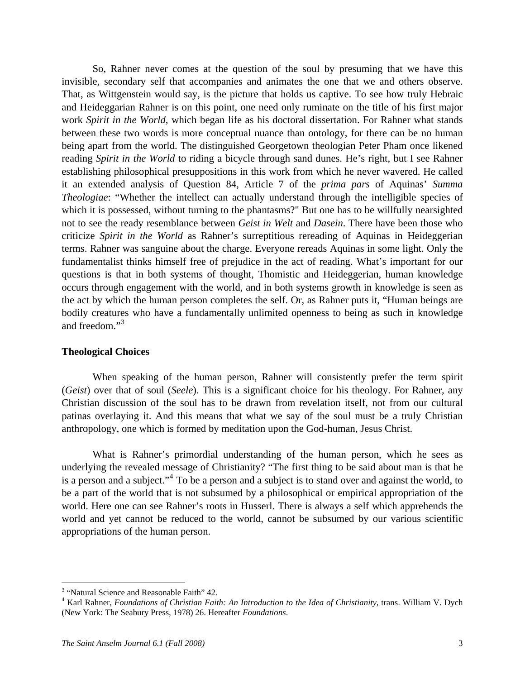So, Rahner never comes at the question of the soul by presuming that we have this invisible, secondary self that accompanies and animates the one that we and others observe. That, as Wittgenstein would say, is the picture that holds us captive. To see how truly Hebraic and Heideggarian Rahner is on this point, one need only ruminate on the title of his first major work *Spirit in the World,* which began life as his doctoral dissertation. For Rahner what stands between these two words is more conceptual nuance than ontology, for there can be no human being apart from the world. The distinguished Georgetown theologian Peter Pham once likened reading *Spirit in the World* to riding a bicycle through sand dunes. He's right, but I see Rahner establishing philosophical presuppositions in this work from which he never wavered. He called it an extended analysis of Question 84, Article 7 of the *prima pars* of Aquinas' *Summa Theologiae*: "Whether the intellect can actually understand through the intelligible species of which it is possessed, without turning to the phantasms?" But one has to be willfully nearsighted not to see the ready resemblance between *Geist in Welt* and *Dasein*. There have been those who criticize *Spirit in the World* as Rahner's surreptitious rereading of Aquinas in Heideggerian terms. Rahner was sanguine about the charge. Everyone rereads Aquinas in some light. Only the fundamentalist thinks himself free of prejudice in the act of reading. What's important for our questions is that in both systems of thought, Thomistic and Heideggerian, human knowledge occurs through engagement with the world, and in both systems growth in knowledge is seen as the act by which the human person completes the self. Or, as Rahner puts it, "Human beings are bodily creatures who have a fundamentally unlimited openness to being as such in knowledge and freedom."<sup>[3](#page-2-0)</sup>

## **Theological Choices**

 When speaking of the human person, Rahner will consistently prefer the term spirit (*Geist*) over that of soul (*Seele*). This is a significant choice for his theology. For Rahner, any Christian discussion of the soul has to be drawn from revelation itself, not from our cultural patinas overlaying it. And this means that what we say of the soul must be a truly Christian anthropology, one which is formed by meditation upon the God-human, Jesus Christ.

 What is Rahner's primordial understanding of the human person, which he sees as underlying the revealed message of Christianity? "The first thing to be said about man is that he is a person and a subject."<sup>[4](#page-2-1)</sup> To be a person and a subject is to stand over and against the world, to be a part of the world that is not subsumed by a philosophical or empirical appropriation of the world. Here one can see Rahner's roots in Husserl. There is always a self which apprehends the world and yet cannot be reduced to the world, cannot be subsumed by our various scientific appropriations of the human person.

<span id="page-2-0"></span><sup>&</sup>lt;sup>3</sup> "Natural Science and Reasonable Faith" 42.<br> $\frac{4}{3}$  Kerl Behner, Foundations of Christian Faith

<span id="page-2-1"></span><sup>&</sup>lt;sup>4</sup> Karl Rahner, *Foundations of Christian Faith: An Introduction to the Idea of Christianity*, trans. William V. Dych (New York: The Seabury Press, 1978) 26. Hereafter *Foundations*.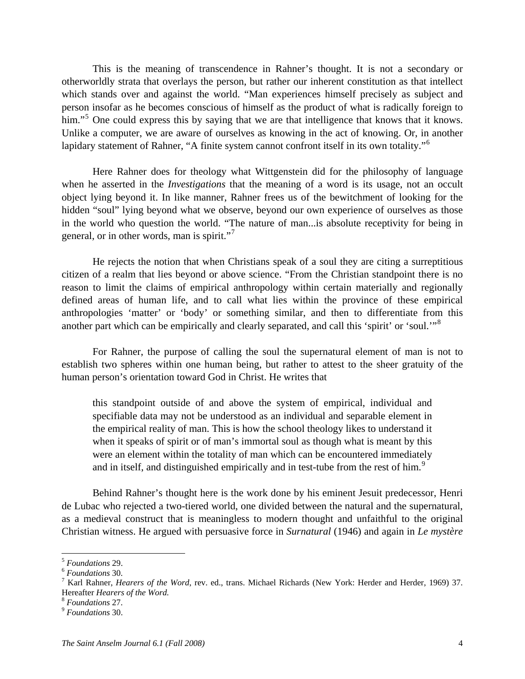This is the meaning of transcendence in Rahner's thought. It is not a secondary or otherworldly strata that overlays the person, but rather our inherent constitution as that intellect which stands over and against the world. "Man experiences himself precisely as subject and person insofar as he becomes conscious of himself as the product of what is radically foreign to him."<sup>[5](#page-3-0)</sup> One could express this by saying that we are that intelligence that knows that it knows. Unlike a computer, we are aware of ourselves as knowing in the act of knowing. Or, in another lapidary statement of Rahner, "A finite system cannot confront itself in its own totality."<sup>[6](#page-3-1)</sup>

 Here Rahner does for theology what Wittgenstein did for the philosophy of language when he asserted in the *Investigations* that the meaning of a word is its usage, not an occult object lying beyond it. In like manner, Rahner frees us of the bewitchment of looking for the hidden "soul" lying beyond what we observe, beyond our own experience of ourselves as those in the world who question the world. "The nature of man...is absolute receptivity for being in general, or in other words, man is spirit."<sup>[7](#page-3-2)</sup>

 He rejects the notion that when Christians speak of a soul they are citing a surreptitious citizen of a realm that lies beyond or above science. "From the Christian standpoint there is no reason to limit the claims of empirical anthropology within certain materially and regionally defined areas of human life, and to call what lies within the province of these empirical anthropologies 'matter' or 'body' or something similar, and then to differentiate from this another part which can be empirically and clearly separated, and call this 'spirit' or 'soul.'"[8](#page-3-3)

 For Rahner, the purpose of calling the soul the supernatural element of man is not to establish two spheres within one human being, but rather to attest to the sheer gratuity of the human person's orientation toward God in Christ. He writes that

this standpoint outside of and above the system of empirical, individual and specifiable data may not be understood as an individual and separable element in the empirical reality of man. This is how the school theology likes to understand it when it speaks of spirit or of man's immortal soul as though what is meant by this were an element within the totality of man which can be encountered immediately and in itself, and distinguished empirically and in test-tube from the rest of him.<sup>[9](#page-3-4)</sup>

 Behind Rahner's thought here is the work done by his eminent Jesuit predecessor, Henri de Lubac who rejected a two-tiered world, one divided between the natural and the supernatural, as a medieval construct that is meaningless to modern thought and unfaithful to the original Christian witness. He argued with persuasive force in *Surnatural* (1946) and again in *Le mystère* 

<span id="page-3-0"></span><sup>5</sup> *Foundations* 29. 6 *Foundations* 30. 7

<span id="page-3-1"></span>

<span id="page-3-2"></span><sup>&</sup>lt;sup>7</sup> Karl Rahner, *Hearers of the Word*, rev. ed., trans. Michael Richards (New York: Herder and Herder, 1969) 37. Hereafter *Hearers of the Word.* <sup>8</sup> *Foundations* 27. 9 *Foundations* 30.

<span id="page-3-3"></span>

<span id="page-3-4"></span>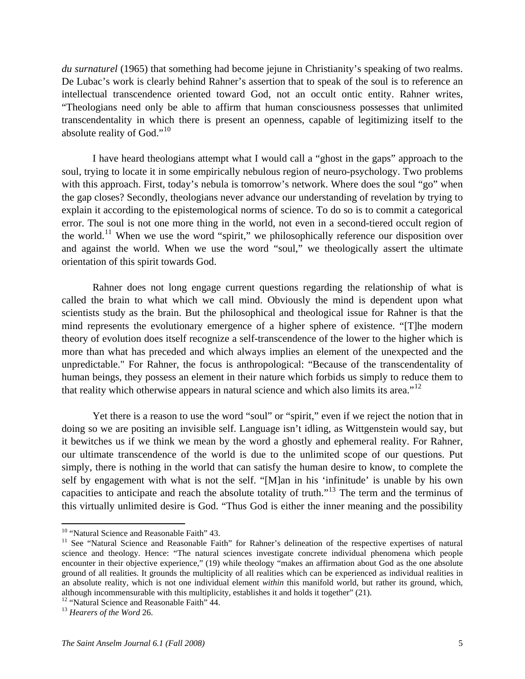*du surnaturel* (1965) that something had become jejune in Christianity's speaking of two realms. De Lubac's work is clearly behind Rahner's assertion that to speak of the soul is to reference an intellectual transcendence oriented toward God, not an occult ontic entity. Rahner writes, "Theologians need only be able to affirm that human consciousness possesses that unlimited transcendentality in which there is present an openness, capable of legitimizing itself to the absolute reality of God."<sup>[10](#page-4-0)</sup>

 I have heard theologians attempt what I would call a "ghost in the gaps" approach to the soul, trying to locate it in some empirically nebulous region of neuro-psychology. Two problems with this approach. First, today's nebula is tomorrow's network. Where does the soul "go" when the gap closes? Secondly, theologians never advance our understanding of revelation by trying to explain it according to the epistemological norms of science. To do so is to commit a categorical error. The soul is not one more thing in the world, not even in a second-tiered occult region of the world.<sup>[11](#page-4-1)</sup> When we use the word "spirit," we philosophically reference our disposition over and against the world. When we use the word "soul," we theologically assert the ultimate orientation of this spirit towards God.

 Rahner does not long engage current questions regarding the relationship of what is called the brain to what which we call mind. Obviously the mind is dependent upon what scientists study as the brain. But the philosophical and theological issue for Rahner is that the mind represents the evolutionary emergence of a higher sphere of existence. "[T]he modern theory of evolution does itself recognize a self-transcendence of the lower to the higher which is more than what has preceded and which always implies an element of the unexpected and the unpredictable." For Rahner, the focus is anthropological: "Because of the transcendentality of human beings, they possess an element in their nature which forbids us simply to reduce them to that reality which otherwise appears in natural science and which also limits its area."<sup>[12](#page-4-2)</sup>

 Yet there is a reason to use the word "soul" or "spirit," even if we reject the notion that in doing so we are positing an invisible self. Language isn't idling, as Wittgenstein would say, but it bewitches us if we think we mean by the word a ghostly and ephemeral reality. For Rahner, our ultimate transcendence of the world is due to the unlimited scope of our questions. Put simply, there is nothing in the world that can satisfy the human desire to know, to complete the self by engagement with what is not the self. "[M]an in his 'infinitude' is unable by his own capacities to anticipate and reach the absolute totality of truth."[13](#page-4-3) The term and the terminus of this virtually unlimited desire is God. "Thus God is either the inner meaning and the possibility

<span id="page-4-1"></span><span id="page-4-0"></span><sup>&</sup>lt;sup>10</sup> "Natural Science and Reasonable Faith" 43.<br><sup>11</sup> See "Natural Science and Reasonable Faith" for Rahner's delineation of the respective expertises of natural science and theology. Hence: "The natural sciences investigate concrete individual phenomena which people encounter in their objective experience," (19) while theology "makes an affirmation about God as the one absolute ground of all realities. It grounds the multiplicity of all realities which can be experienced as individual realities in an absolute reality, which is not one individual element *within* this manifold world, but rather its ground, which, although incommensurable with this multiplicity, establishes it and holds it together" (21). 12 "Natural Science and Reasonable Faith" 44. 13 *Hearers of the Word* 26.

<span id="page-4-2"></span>

<span id="page-4-3"></span>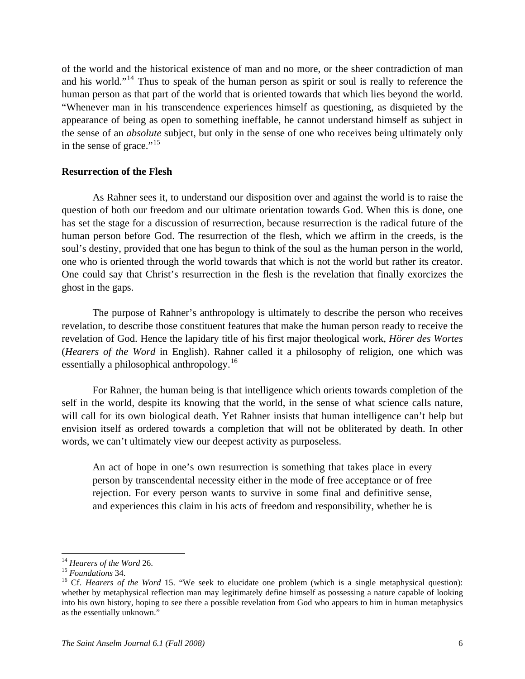of the world and the historical existence of man and no more, or the sheer contradiction of man and his world."<sup>[14](#page-5-0)</sup> Thus to speak of the human person as spirit or soul is really to reference the human person as that part of the world that is oriented towards that which lies beyond the world. "Whenever man in his transcendence experiences himself as questioning, as disquieted by the appearance of being as open to something ineffable, he cannot understand himself as subject in the sense of an *absolute* subject, but only in the sense of one who receives being ultimately only in the sense of grace."<sup>[15](#page-5-1)</sup>

### **Resurrection of the Flesh**

 As Rahner sees it, to understand our disposition over and against the world is to raise the question of both our freedom and our ultimate orientation towards God. When this is done, one has set the stage for a discussion of resurrection, because resurrection is the radical future of the human person before God. The resurrection of the flesh, which we affirm in the creeds, is the soul's destiny, provided that one has begun to think of the soul as the human person in the world, one who is oriented through the world towards that which is not the world but rather its creator. One could say that Christ's resurrection in the flesh is the revelation that finally exorcizes the ghost in the gaps.

 The purpose of Rahner's anthropology is ultimately to describe the person who receives revelation, to describe those constituent features that make the human person ready to receive the revelation of God. Hence the lapidary title of his first major theological work, *Hörer des Wortes* (*Hearers of the Word* in English). Rahner called it a philosophy of religion, one which was essentially a philosophical anthropology.<sup>[16](#page-5-2)</sup>

 For Rahner, the human being is that intelligence which orients towards completion of the self in the world, despite its knowing that the world, in the sense of what science calls nature, will call for its own biological death. Yet Rahner insists that human intelligence can't help but envision itself as ordered towards a completion that will not be obliterated by death. In other words, we can't ultimately view our deepest activity as purposeless.

An act of hope in one's own resurrection is something that takes place in every person by transcendental necessity either in the mode of free acceptance or of free rejection. For every person wants to survive in some final and definitive sense, and experiences this claim in his acts of freedom and responsibility, whether he is

<span id="page-5-2"></span><span id="page-5-1"></span>

<span id="page-5-0"></span><sup>&</sup>lt;sup>14</sup> *Hearers of the Word* 26.<br><sup>15</sup> *Foundations* 34.<br><sup>16</sup> Cf. *Hearers of the Word* 15. "We seek to elucidate one problem (which is a single metaphysical question): whether by metaphysical reflection man may legitimately define himself as possessing a nature capable of looking into his own history, hoping to see there a possible revelation from God who appears to him in human metaphysics as the essentially unknown."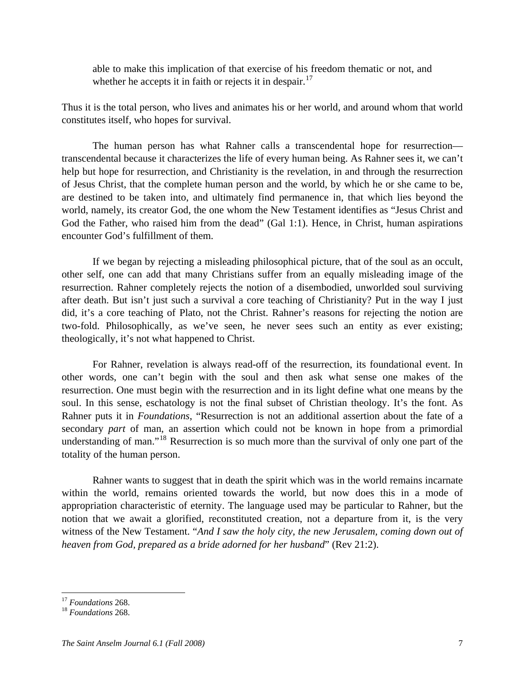able to make this implication of that exercise of his freedom thematic or not, and whether he accepts it in faith or rejects it in despair. $17$ 

Thus it is the total person, who lives and animates his or her world, and around whom that world constitutes itself, who hopes for survival.

 The human person has what Rahner calls a transcendental hope for resurrection transcendental because it characterizes the life of every human being. As Rahner sees it, we can't help but hope for resurrection, and Christianity is the revelation, in and through the resurrection of Jesus Christ, that the complete human person and the world, by which he or she came to be, are destined to be taken into, and ultimately find permanence in, that which lies beyond the world, namely, its creator God, the one whom the New Testament identifies as "Jesus Christ and God the Father, who raised him from the dead" (Gal 1:1). Hence, in Christ, human aspirations encounter God's fulfillment of them.

 If we began by rejecting a misleading philosophical picture, that of the soul as an occult, other self, one can add that many Christians suffer from an equally misleading image of the resurrection. Rahner completely rejects the notion of a disembodied, unworlded soul surviving after death. But isn't just such a survival a core teaching of Christianity? Put in the way I just did, it's a core teaching of Plato, not the Christ. Rahner's reasons for rejecting the notion are two-fold. Philosophically, as we've seen, he never sees such an entity as ever existing; theologically, it's not what happened to Christ.

 For Rahner, revelation is always read-off of the resurrection, its foundational event. In other words, one can't begin with the soul and then ask what sense one makes of the resurrection. One must begin with the resurrection and in its light define what one means by the soul. In this sense, eschatology is not the final subset of Christian theology. It's the font. As Rahner puts it in *Foundations*, "Resurrection is not an additional assertion about the fate of a secondary *part* of man, an assertion which could not be known in hope from a primordial understanding of man."<sup>[18](#page-6-1)</sup> Resurrection is so much more than the survival of only one part of the totality of the human person.

 Rahner wants to suggest that in death the spirit which was in the world remains incarnate within the world, remains oriented towards the world, but now does this in a mode of appropriation characteristic of eternity. The language used may be particular to Rahner, but the notion that we await a glorified, reconstituted creation, not a departure from it, is the very witness of the New Testament. "*And I saw the holy city, the new Jerusalem, coming down out of heaven from God, prepared as a bride adorned for her husband*" (Rev 21:2).

<span id="page-6-0"></span> $17$  Foundations 268.

<span id="page-6-1"></span><sup>&</sup>lt;sup>18</sup> *Foundations* 268.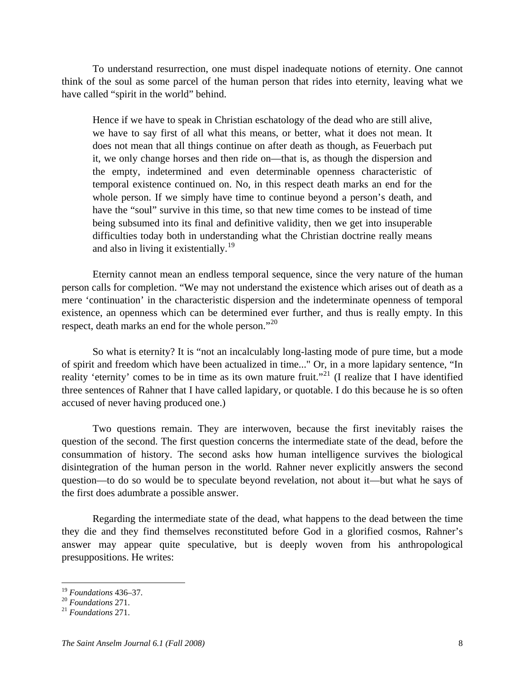To understand resurrection, one must dispel inadequate notions of eternity. One cannot think of the soul as some parcel of the human person that rides into eternity, leaving what we have called "spirit in the world" behind.

Hence if we have to speak in Christian eschatology of the dead who are still alive, we have to say first of all what this means, or better, what it does not mean. It does not mean that all things continue on after death as though, as Feuerbach put it, we only change horses and then ride on—that is, as though the dispersion and the empty, indetermined and even determinable openness characteristic of temporal existence continued on. No, in this respect death marks an end for the whole person. If we simply have time to continue beyond a person's death, and have the "soul" survive in this time, so that new time comes to be instead of time being subsumed into its final and definitive validity, then we get into insuperable difficulties today both in understanding what the Christian doctrine really means and also in living it existentially.<sup>[19](#page-7-0)</sup>

 Eternity cannot mean an endless temporal sequence, since the very nature of the human person calls for completion. "We may not understand the existence which arises out of death as a mere 'continuation' in the characteristic dispersion and the indeterminate openness of temporal existence, an openness which can be determined ever further, and thus is really empty. In this respect, death marks an end for the whole person."<sup>[20](#page-7-1)</sup>

 So what is eternity? It is "not an incalculably long-lasting mode of pure time, but a mode of spirit and freedom which have been actualized in time..." Or, in a more lapidary sentence, "In reality 'eternity' comes to be in time as its own mature fruit."<sup>[21](#page-7-2)</sup> (I realize that I have identified three sentences of Rahner that I have called lapidary, or quotable. I do this because he is so often accused of never having produced one.)

 Two questions remain. They are interwoven, because the first inevitably raises the question of the second. The first question concerns the intermediate state of the dead, before the consummation of history. The second asks how human intelligence survives the biological disintegration of the human person in the world. Rahner never explicitly answers the second question—to do so would be to speculate beyond revelation, not about it—but what he says of the first does adumbrate a possible answer.

 Regarding the intermediate state of the dead, what happens to the dead between the time they die and they find themselves reconstituted before God in a glorified cosmos, Rahner's answer may appear quite speculative, but is deeply woven from his anthropological presuppositions. He writes:

 $19$  Foundations 436-37.

<span id="page-7-1"></span><span id="page-7-0"></span><sup>19</sup> *Foundations* 436–37. 20 *Foundations* 271. 21 *Foundations* 271.

<span id="page-7-2"></span>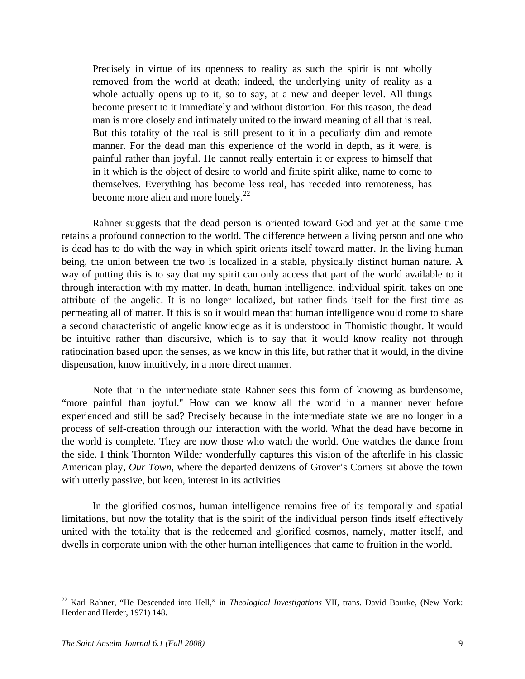Precisely in virtue of its openness to reality as such the spirit is not wholly removed from the world at death; indeed, the underlying unity of reality as a whole actually opens up to it, so to say, at a new and deeper level. All things become present to it immediately and without distortion. For this reason, the dead man is more closely and intimately united to the inward meaning of all that is real. But this totality of the real is still present to it in a peculiarly dim and remote manner. For the dead man this experience of the world in depth, as it were, is painful rather than joyful. He cannot really entertain it or express to himself that in it which is the object of desire to world and finite spirit alike, name to come to themselves. Everything has become less real, has receded into remoteness, has become more alien and more lonely.<sup>[22](#page-8-0)</sup>

 Rahner suggests that the dead person is oriented toward God and yet at the same time retains a profound connection to the world. The difference between a living person and one who is dead has to do with the way in which spirit orients itself toward matter. In the living human being, the union between the two is localized in a stable, physically distinct human nature. A way of putting this is to say that my spirit can only access that part of the world available to it through interaction with my matter. In death, human intelligence, individual spirit, takes on one attribute of the angelic. It is no longer localized, but rather finds itself for the first time as permeating all of matter. If this is so it would mean that human intelligence would come to share a second characteristic of angelic knowledge as it is understood in Thomistic thought. It would be intuitive rather than discursive, which is to say that it would know reality not through ratiocination based upon the senses, as we know in this life, but rather that it would, in the divine dispensation, know intuitively, in a more direct manner.

 Note that in the intermediate state Rahner sees this form of knowing as burdensome, "more painful than joyful." How can we know all the world in a manner never before experienced and still be sad? Precisely because in the intermediate state we are no longer in a process of self-creation through our interaction with the world. What the dead have become in the world is complete. They are now those who watch the world. One watches the dance from the side. I think Thornton Wilder wonderfully captures this vision of the afterlife in his classic American play, *Our Town*, where the departed denizens of Grover's Corners sit above the town with utterly passive, but keen, interest in its activities.

 In the glorified cosmos, human intelligence remains free of its temporally and spatial limitations, but now the totality that is the spirit of the individual person finds itself effectively united with the totality that is the redeemed and glorified cosmos, namely, matter itself, and dwells in corporate union with the other human intelligences that came to fruition in the world.

<span id="page-8-0"></span><sup>22</sup> Karl Rahner, "He Descended into Hell," in *Theological Investigations* VII, trans. David Bourke, (New York: Herder and Herder, 1971) 148.